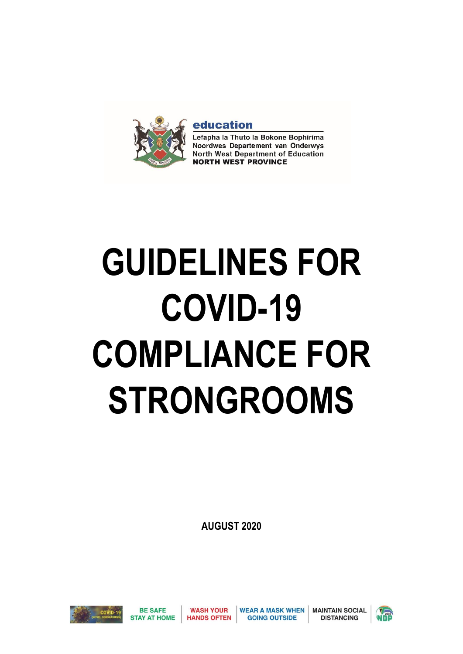

education

Lefapha la Thuto la Bokone Bophirima Noordwes Departement van Onderwys North West Department of Education **NORTH WEST PROVINCE** 

# **GUIDELINES FOR COVID-19 COMPLIANCE FOR STRONGROOMS**

**AUGUST 2020**

**WASH YOUR** 

**HANDS OFTEN** 



**BE SAFE** 

**WEAR A MASK WHEN GOING OUTSIDE** 

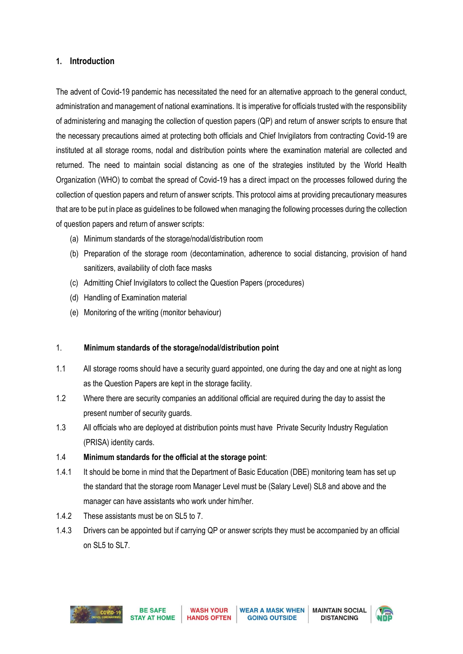# **1. Introduction**

The advent of Covid-19 pandemic has necessitated the need for an alternative approach to the general conduct, administration and management of national examinations. It is imperative for officials trusted with the responsibility of administering and managing the collection of question papers (QP) and return of answer scripts to ensure that the necessary precautions aimed at protecting both officials and Chief Invigilators from contracting Covid-19 are instituted at all storage rooms, nodal and distribution points where the examination material are collected and returned. The need to maintain social distancing as one of the strategies instituted by the World Health Organization (WHO) to combat the spread of Covid-19 has a direct impact on the processes followed during the collection of question papers and return of answer scripts. This protocol aims at providing precautionary measures that are to be put in place as guidelines to be followed when managing the following processes during the collection of question papers and return of answer scripts:

- (a) Minimum standards of the storage/nodal/distribution room
- (b) Preparation of the storage room (decontamination, adherence to social distancing, provision of hand sanitizers, availability of cloth face masks
- (c) Admitting Chief Invigilators to collect the Question Papers (procedures)
- (d) Handling of Examination material
- (e) Monitoring of the writing (monitor behaviour)

## 1. **Minimum standards of the storage/nodal/distribution point**

- 1.1 All storage rooms should have a security guard appointed, one during the day and one at night as long as the Question Papers are kept in the storage facility.
- 1.2 Where there are security companies an additional official are required during the day to assist the present number of security guards.
- 1.3 All officials who are deployed at distribution points must have Private Security Industry Regulation (PRISA) identity cards.
- 1.4 **Minimum standards for the official at the storage point**:
- 1.4.1 It should be borne in mind that the Department of Basic Education (DBE) monitoring team has set up the standard that the storage room Manager Level must be (Salary Level) SL8 and above and the manager can have assistants who work under him/her.
- 1.4.2 These assistants must be on SL5 to 7.
- 1.4.3 Drivers can be appointed but if carrying QP or answer scripts they must be accompanied by an official on SL5 to SL7.



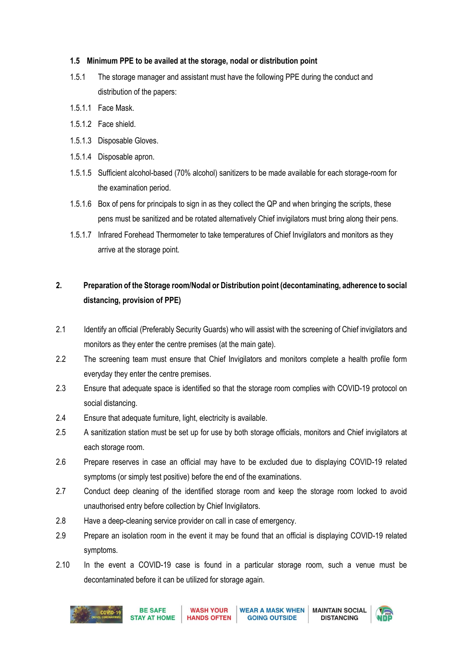## **1.5 Minimum PPE to be availed at the storage, nodal or distribution point**

- 1.5.1 The storage manager and assistant must have the following PPE during the conduct and distribution of the papers:
- 1.5.1.1 Face Mask.
- 1.5.1.2 Face shield.
- 1.5.1.3 Disposable Gloves.
- 1.5.1.4 Disposable apron.
- 1.5.1.5 Sufficient alcohol-based (70% alcohol) sanitizers to be made available for each storage-room for the examination period.
- 1.5.1.6 Box of pens for principals to sign in as they collect the QP and when bringing the scripts, these pens must be sanitized and be rotated alternatively Chief invigilators must bring along their pens.
- 1.5.1.7 Infrared Forehead Thermometer to take temperatures of Chief Invigilators and monitors as they arrive at the storage point.

# **2. Preparation of the Storage room/Nodal or Distribution point (decontaminating, adherence to social distancing, provision of PPE)**

- 2.1 Identify an official (Preferably Security Guards) who will assist with the screening of Chief invigilators and monitors as they enter the centre premises (at the main gate).
- 2.2 The screening team must ensure that Chief Invigilators and monitors complete a health profile form everyday they enter the centre premises.
- 2.3 Ensure that adequate space is identified so that the storage room complies with COVID-19 protocol on social distancing.
- 2.4 Ensure that adequate furniture, light, electricity is available.
- 2.5 A sanitization station must be set up for use by both storage officials, monitors and Chief invigilators at each storage room.
- 2.6 Prepare reserves in case an official may have to be excluded due to displaying COVID-19 related symptoms (or simply test positive) before the end of the examinations.
- 2.7 Conduct deep cleaning of the identified storage room and keep the storage room locked to avoid unauthorised entry before collection by Chief Invigilators.
- 2.8 Have a deep-cleaning service provider on call in case of emergency.
- 2.9 Prepare an isolation room in the event it may be found that an official is displaying COVID-19 related symptoms.
- 2.10 In the event a COVID-19 case is found in a particular storage room, such a venue must be decontaminated before it can be utilized for storage again.



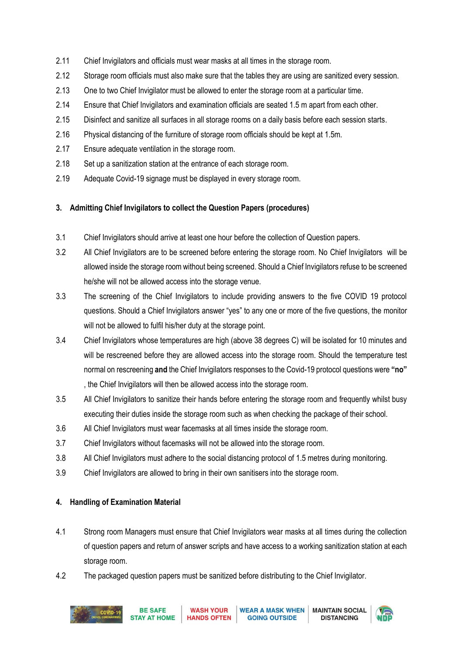- 2.11 Chief Invigilators and officials must wear masks at all times in the storage room.
- 2.12 Storage room officials must also make sure that the tables they are using are sanitized every session.
- 2.13 One to two Chief Invigilator must be allowed to enter the storage room at a particular time.
- 2.14 Ensure that Chief Invigilators and examination officials are seated 1.5 m apart from each other.
- 2.15 Disinfect and sanitize all surfaces in all storage rooms on a daily basis before each session starts.
- 2.16 Physical distancing of the furniture of storage room officials should be kept at 1.5m.
- 2.17 Ensure adequate ventilation in the storage room.
- 2.18 Set up a sanitization station at the entrance of each storage room.
- 2.19 Adequate Covid-19 signage must be displayed in every storage room.

## **3. Admitting Chief Invigilators to collect the Question Papers (procedures)**

- 3.1 Chief Invigilators should arrive at least one hour before the collection of Question papers.
- 3.2 All Chief Invigilators are to be screened before entering the storage room. No Chief Invigilators will be allowed inside the storage room without being screened. Should a Chief Invigilators refuse to be screened he/she will not be allowed access into the storage venue.
- 3.3 The screening of the Chief Invigilators to include providing answers to the five COVID 19 protocol questions. Should a Chief Invigilators answer "yes" to any one or more of the five questions, the monitor will not be allowed to fulfil his/her duty at the storage point.
- 3.4 Chief Invigilators whose temperatures are high (above 38 degrees C) will be isolated for 10 minutes and will be rescreened before they are allowed access into the storage room. Should the temperature test normal on rescreening **and** the Chief Invigilators responses to the Covid-19 protocol questions were **"no"** , the Chief Invigilators will then be allowed access into the storage room.
- 3.5 All Chief Invigilators to sanitize their hands before entering the storage room and frequently whilst busy executing their duties inside the storage room such as when checking the package of their school.
- 3.6 All Chief Invigilators must wear facemasks at all times inside the storage room.
- 3.7 Chief Invigilators without facemasks will not be allowed into the storage room.
- 3.8 All Chief Invigilators must adhere to the social distancing protocol of 1.5 metres during monitoring.
- 3.9 Chief Invigilators are allowed to bring in their own sanitisers into the storage room.

## **4. Handling of Examination Material**

- 4.1 Strong room Managers must ensure that Chief Invigilators wear masks at all times during the collection of question papers and return of answer scripts and have access to a working sanitization station at each storage room.
- 4.2 The packaged question papers must be sanitized before distributing to the Chief Invigilator.